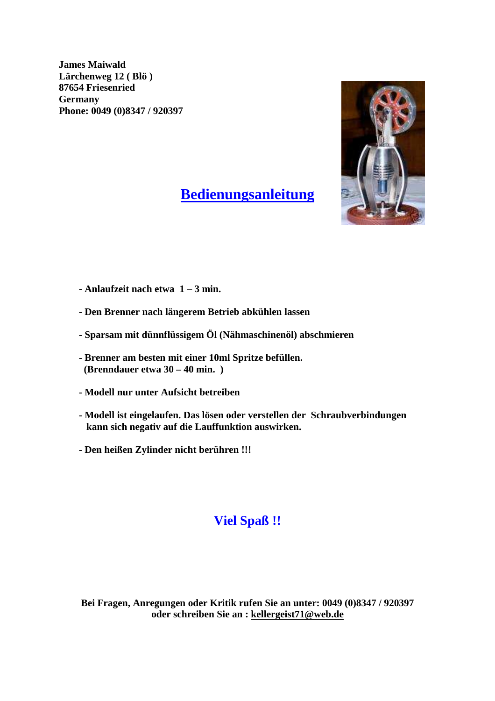

## **Bedienungsanleitung**

- **Anlaufzeit nach etwa 1 3 min.**
- **Den Brenner nach längerem Betrieb abkühlen lassen**
- **Sparsam mit dünnflüssigem Öl (Nähmaschinenöl) abschmieren**
- **Brenner am besten mit einer 10ml Spritze befüllen. (Brenndauer etwa 30 – 40 min. )**
- **Modell nur unter Aufsicht betreiben**
- **Modell ist eingelaufen. Das lösen oder verstellen der Schraubverbindungen kann sich negativ auf die Lauffunktion auswirken.**
- **Den heißen Zylinder nicht berühren !!!**

#### **Viel Spaß !!**

**Bei Fragen, Anregungen oder Kritik rufen Sie an unter: 0049 (0)8347 / 920397 oder schreiben Sie an : kellergeist71@web.de**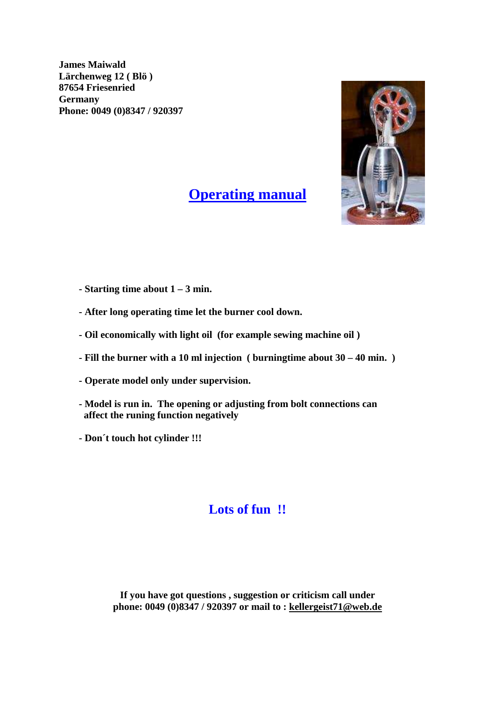

### **Operating manual**

- **Starting time about 1 3 min.**
- **After long operating time let the burner cool down.**
- **Oil economically with light oil (for example sewing machine oil )**
- **Fill the burner with a 10 ml injection ( burningtime about 30 40 min. )**
- **Operate model only under supervision.**
- **Model is run in. The opening or adjusting from bolt connections can affect the runing function negatively**
- **Don´t touch hot cylinder !!!**

### **Lots of fun !!**

**If you have got questions , suggestion or criticism call under phone: 0049 (0)8347 / 920397 or mail to : kellergeist71@web.de**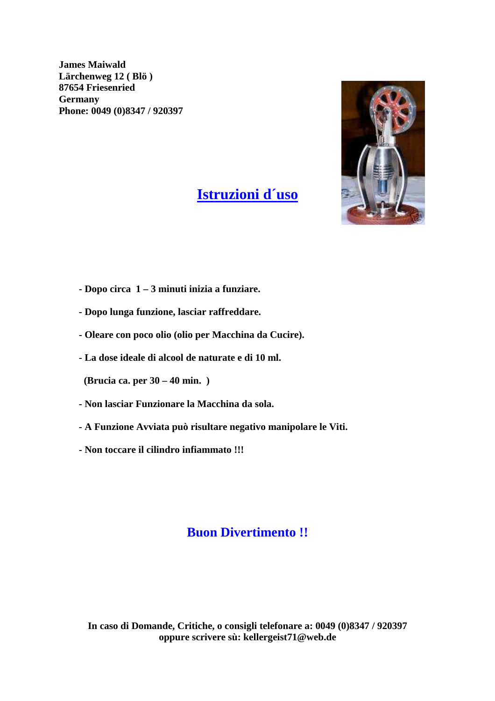

## **Istruzioni d´uso**

- **Dopo circa 1 3 minuti inizia a funziare.**
- **Dopo lunga funzione, lasciar raffreddare.**
- **Oleare con poco olio (olio per Macchina da Cucire).**
- **La dose ideale di alcool de naturate e di 10 ml.**

 **(Brucia ca. per 30 – 40 min. )**

- **Non lasciar Funzionare la Macchina da sola.**
- **A Funzione Avviata può risultare negativo manipolare le Viti.**
- **Non toccare il cilindro infiammato !!!**

#### **Buon Divertimento !!**

**In caso di Domande, Critiche, o consigli telefonare a: 0049 (0)8347 / 920397 oppure scrivere sù: kellergeist71@web.de**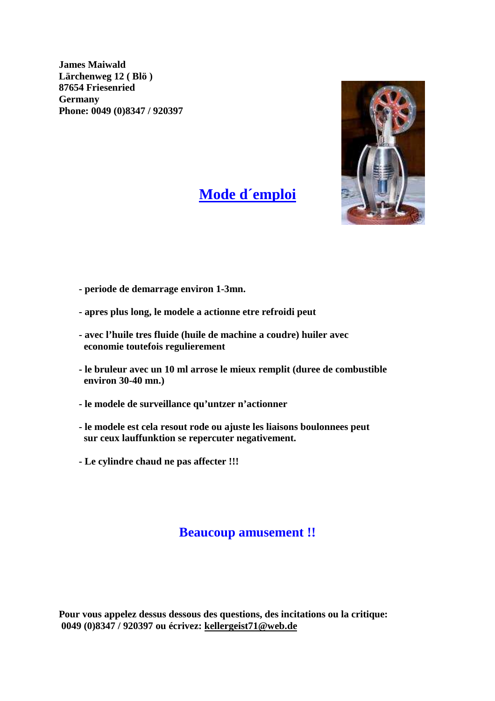

### **Mode d´emploi**

- **periode de demarrage environ 1-3mn.**
- **apres plus long, le modele a actionne etre refroidi peut**
- **avec l'huile tres fluide (huile de machine a coudre) huiler avec economie toutefois regulierement**
- **le bruleur avec un 10 ml arrose le mieux remplit (duree de combustible environ 30-40 mn.)**
- **le modele de surveillance qu'untzer n'actionner**
- **le modele est cela resout rode ou ajuste les liaisons boulonnees peut sur ceux lauffunktion se repercuter negativement.**
- **Le cylindre chaud ne pas affecter !!!**

#### **Beaucoup amusement !!**

**Pour vous appelez dessus dessous des questions, des incitations ou la critique: 0049 (0)8347 / 920397 ou écrivez: kellergeist71@web.de**